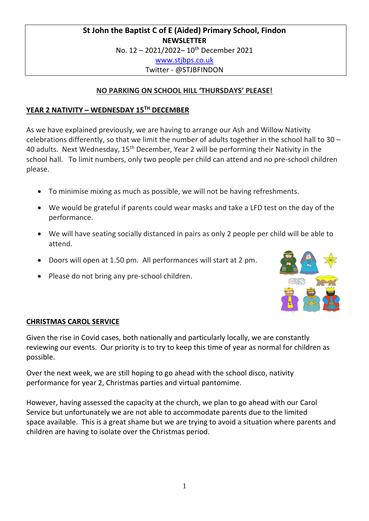# **St John the Baptist C of E (Aided) Primary School, Findon NEWSLETTER** No. 12 - 2021/2022-10<sup>th</sup> December 2021 [www.stjbps.co.uk](http://www.stjbps.co.uk/) Twitter - @STJBFINDON

# **NO PARKING ON SCHOOL HILL 'THURSDAYS' PLEASE!**

# **YEAR 2 NATIVITY – WEDNESDAY 15TH DECEMBER**

As we have explained previously, we are having to arrange our Ash and Willow Nativity celebrations differently, so that we limit the number of adults together in the school hall to 30 – 40 adults. Next Wednesday, 15<sup>th</sup> December, Year 2 will be performing their Nativity in the school hall. To limit numbers, only two people per child can attend and no pre-school children please.

- To minimise mixing as much as possible, we will not be having refreshments.
- We would be grateful if parents could wear masks and take a LFD test on the day of the performance.
- We will have seating socially distanced in pairs as only 2 people per child will be able to attend.
- Doors will open at 1.50 pm. All performances will start at 2 pm.
- Please do not bring any pre-school children.



# **CHRISTMAS CAROL SERVICE**

Given the rise in Covid cases, both nationally and particularly locally, we are constantly reviewing our events. Our priority is to try to keep this time of year as normal for children as possible.

Over the next week, we are still hoping to go ahead with the school disco, nativity performance for year 2, Christmas parties and virtual pantomime.

However, having assessed the capacity at the church, we plan to go ahead with our Carol Service but unfortunately we are not able to accommodate parents due to the limited space available. This is a great shame but we are trying to avoid a situation where parents and children are having to isolate over the Christmas period.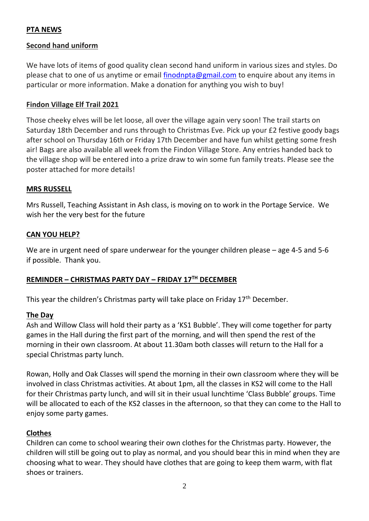## **PTA NEWS**

#### **Second hand uniform**

We have lots of items of good quality clean second hand uniform in various sizes and styles. Do please chat to one of us anytime or email [finodnpta@gmail.com](mailto:finodnpta@gmail.com) to enquire about any items in particular or more information. Make a donation for anything you wish to buy!

#### **Findon Village Elf Trail 2021**

Those cheeky elves will be let loose, all over the village again very soon! The trail starts on Saturday 18th December and runs through to Christmas Eve. Pick up your £2 festive goody bags after school on Thursday 16th or Friday 17th December and have fun whilst getting some fresh air! Bags are also available all week from the Findon Village Store. Any entries handed back to the village shop will be entered into a prize draw to win some fun family treats. Please see the poster attached for more details!

#### **MRS RUSSELL**

Mrs Russell, Teaching Assistant in Ash class, is moving on to work in the Portage Service. We wish her the very best for the future

#### **CAN YOU HELP?**

We are in urgent need of spare underwear for the younger children please – age 4-5 and 5-6 if possible. Thank you.

## **REMINDER – CHRISTMAS PARTY DAY – FRIDAY 17TH DECEMBER**

This year the children's Christmas party will take place on Friday  $17<sup>th</sup>$  December.

#### **The Day**

Ash and Willow Class will hold their party as a 'KS1 Bubble'. They will come together for party games in the Hall during the first part of the morning, and will then spend the rest of the morning in their own classroom. At about 11.30am both classes will return to the Hall for a special Christmas party lunch.

Rowan, Holly and Oak Classes will spend the morning in their own classroom where they will be involved in class Christmas activities. At about 1pm, all the classes in KS2 will come to the Hall for their Christmas party lunch, and will sit in their usual lunchtime 'Class Bubble' groups. Time will be allocated to each of the KS2 classes in the afternoon, so that they can come to the Hall to enjoy some party games.

## **Clothes**

Children can come to school wearing their own clothes for the Christmas party. However, the children will still be going out to play as normal, and you should bear this in mind when they are choosing what to wear. They should have clothes that are going to keep them warm, with flat shoes or trainers.